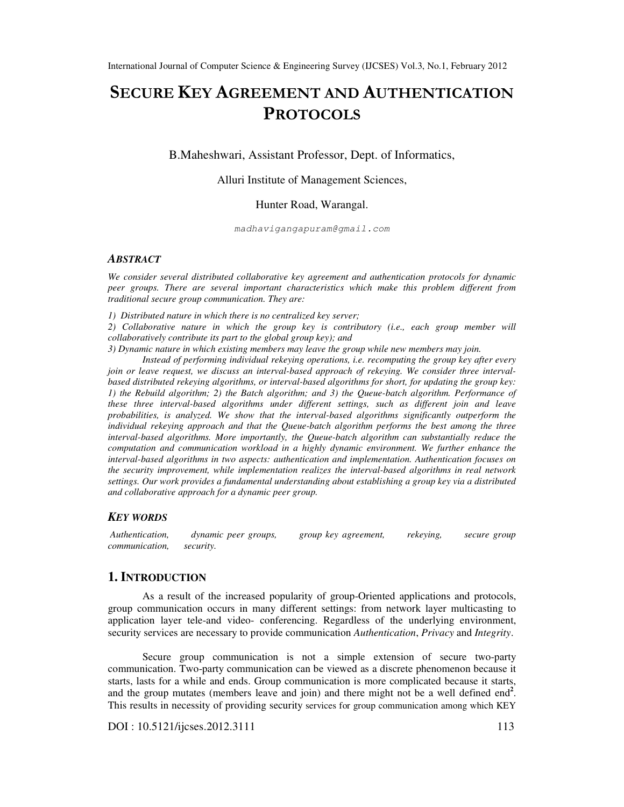# SECURE KEY AGREEMENT AND AUTHENTICATION **PROTOCOLS**

B.Maheshwari, Assistant Professor, Dept. of Informatics,

#### Alluri Institute of Management Sciences,

#### Hunter Road, Warangal.

madhavigangapuram@gmail.com

#### *ABSTRACT*

*We consider several distributed collaborative key agreement and authentication protocols for dynamic peer groups. There are several important characteristics which make this problem different from traditional secure group communication. They are:* 

*1) Distributed nature in which there is no centralized key server;* 

*2) Collaborative nature in which the group key is contributory (i.e., each group member will collaboratively contribute its part to the global group key); and* 

*3) Dynamic nature in which existing members may leave the group while new members may join.* 

*Instead of performing individual rekeying operations, i.e. recomputing the group key after every join or leave request, we discuss an interval-based approach of rekeying. We consider three intervalbased distributed rekeying algorithms, or interval-based algorithms for short, for updating the group key: 1) the Rebuild algorithm; 2) the Batch algorithm; and 3) the Queue-batch algorithm. Performance of these three interval-based algorithms under different settings, such as different join and leave probabilities, is analyzed. We show that the interval-based algorithms significantly outperform the individual rekeying approach and that the Queue-batch algorithm performs the best among the three interval-based algorithms. More importantly, the Queue-batch algorithm can substantially reduce the computation and communication workload in a highly dynamic environment. We further enhance the interval-based algorithms in two aspects: authentication and implementation. Authentication focuses on the security improvement, while implementation realizes the interval-based algorithms in real network settings. Our work provides a fundamental understanding about establishing a group key via a distributed and collaborative approach for a dynamic peer group.* 

#### *KEY WORDS*

 *Authentication, dynamic peer groups, group key agreement, rekeying, secure group communication, security.* 

## **1. INTRODUCTION**

As a result of the increased popularity of group-Oriented applications and protocols, group communication occurs in many different settings: from network layer multicasting to application layer tele-and video- conferencing. Regardless of the underlying environment, security services are necessary to provide communication *Authentication*, *Privacy* and *Integrity*.

Secure group communication is not a simple extension of secure two-party communication. Two-party communication can be viewed as a discrete phenomenon because it starts, lasts for a while and ends. Group communication is more complicated because it starts, and the group mutates (members leave and join) and there might not be a well defined end<sup>2</sup>. This results in necessity of providing security services for group communication among which KEY

DOI : 10.5121/ijcses.2012.3111 113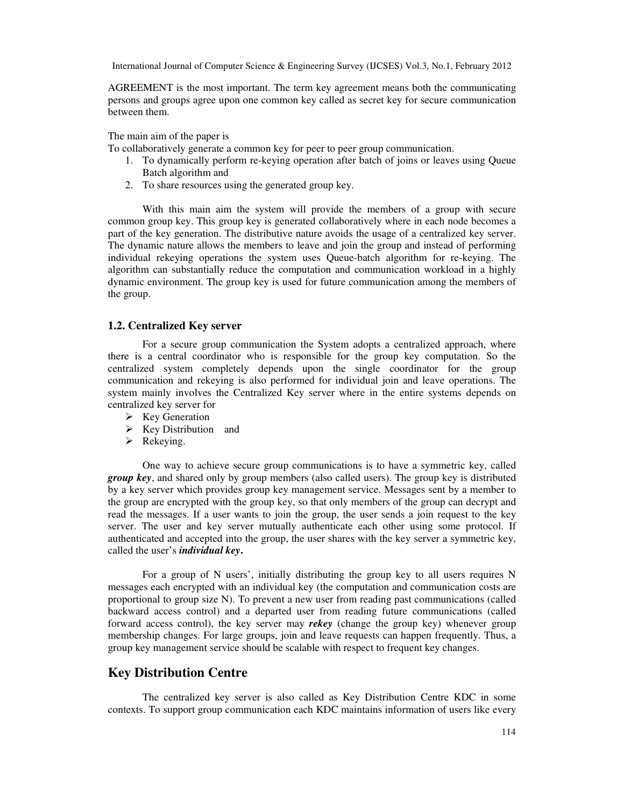AGREEMENT is the most important. The term key agreement means both the communicating persons and groups agree upon one common key called as secret key for secure communication between them.

The main aim of the paper is

To collaboratively generate a common key for peer to peer group communication.

- 1. To dynamically perform re-keying operation after batch of joins or leaves using Queue Batch algorithm and
- 2. To share resources using the generated group key.

With this main aim the system will provide the members of a group with secure common group key. This group key is generated collaboratively where in each node becomes a part of the key generation. The distributive nature avoids the usage of a centralized key server. The dynamic nature allows the members to leave and join the group and instead of performing individual rekeying operations the system uses Queue-batch algorithm for re-keying. The algorithm can substantially reduce the computation and communication workload in a highly dynamic environment. The group key is used for future communication among the members of the group.

#### **1.2. Centralized Key server**

For a secure group communication the System adopts a centralized approach, where there is a central coordinator who is responsible for the group key computation. So the centralized system completely depends upon the single coordinator for the group communication and rekeying is also performed for individual join and leave operations. The system mainly involves the Centralized Key server where in the entire systems depends on centralized key server for

- $\triangleright$  Key Generation
- $\triangleright$  Key Distribution and
- $\triangleright$  Rekeying.

One way to achieve secure group communications is to have a symmetric key, called *group key*, and shared only by group members (also called users). The group key is distributed by a key server which provides group key management service. Messages sent by a member to the group are encrypted with the group key, so that only members of the group can decrypt and read the messages. If a user wants to join the group, the user sends a join request to the key server. The user and key server mutually authenticate each other using some protocol. If authenticated and accepted into the group, the user shares with the key server a symmetric key, called the user's *individual key***.** 

For a group of N users', initially distributing the group key to all users requires N messages each encrypted with an individual key (the computation and communication costs are proportional to group size N). To prevent a new user from reading past communications (called backward access control) and a departed user from reading future communications (called forward access control), the key server may *rekey* (change the group key) whenever group membership changes. For large groups, join and leave requests can happen frequently. Thus, a group key management service should be scalable with respect to frequent key changes.

# **Key Distribution Centre**

The centralized key server is also called as Key Distribution Centre KDC in some contexts. To support group communication each KDC maintains information of users like every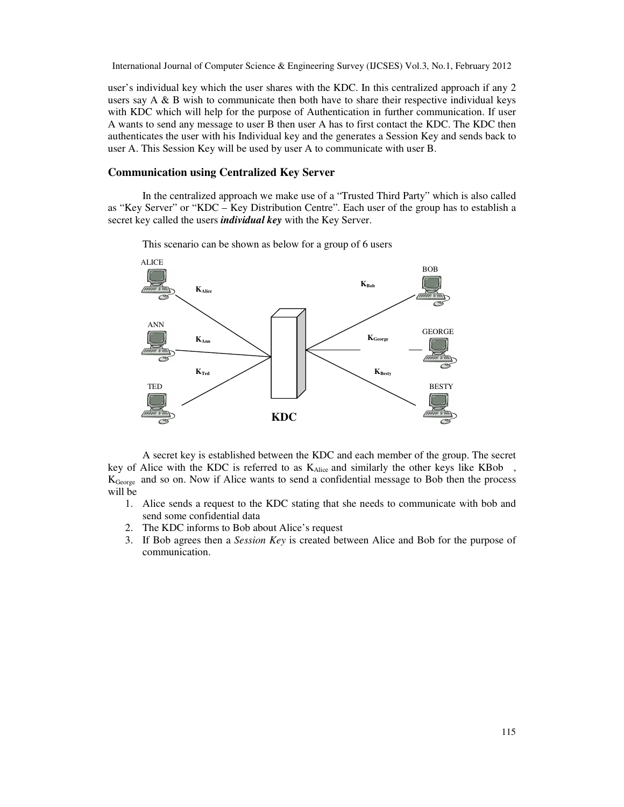user's individual key which the user shares with the KDC. In this centralized approach if any 2 users say  $A \& B$  wish to communicate then both have to share their respective individual keys with KDC which will help for the purpose of Authentication in further communication. If user A wants to send any message to user B then user A has to first contact the KDC. The KDC then authenticates the user with his Individual key and the generates a Session Key and sends back to user A. This Session Key will be used by user A to communicate with user B.

#### **Communication using Centralized Key Server**

In the centralized approach we make use of a "Trusted Third Party" which is also called as "Key Server" or "KDC – Key Distribution Centre". Each user of the group has to establish a secret key called the users *individual key* with the Key Server.

This scenario can be shown as below for a group of 6 users



A secret key is established between the KDC and each member of the group. The secret key of Alice with the KDC is referred to as  $K_{Alice}$  and similarly the other keys like KBob, KGeorge and so on. Now if Alice wants to send a confidential message to Bob then the process will be

- 1. Alice sends a request to the KDC stating that she needs to communicate with bob and send some confidential data
- 2. The KDC informs to Bob about Alice's request
- 3. If Bob agrees then a *Session Key* is created between Alice and Bob for the purpose of communication.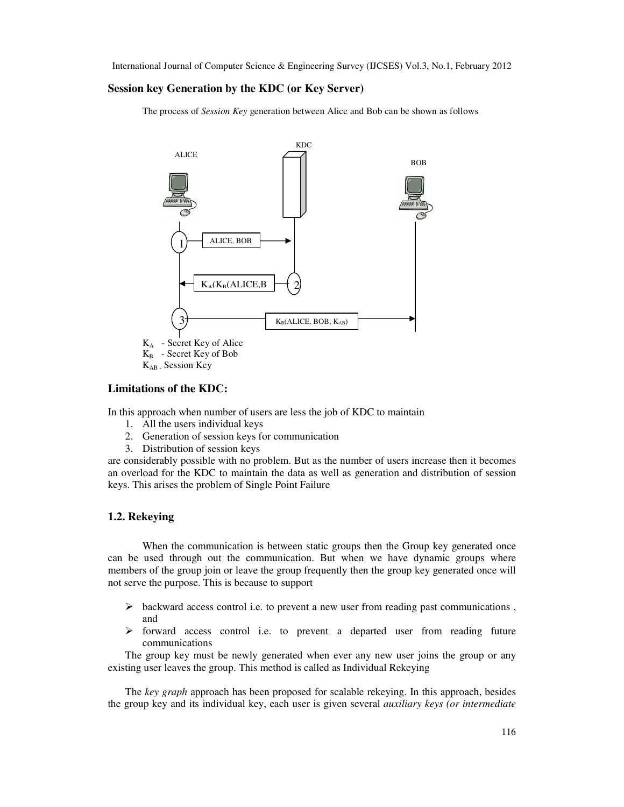#### **Session key Generation by the KDC (or Key Server)**

The process of *Session Key* generation between Alice and Bob can be shown as follows



KAB - Session Key

## **Limitations of the KDC:**

In this approach when number of users are less the job of KDC to maintain

- 1. All the users individual keys
- 2. Generation of session keys for communication
- 3. Distribution of session keys

are considerably possible with no problem. But as the number of users increase then it becomes an overload for the KDC to maintain the data as well as generation and distribution of session keys. This arises the problem of Single Point Failure

#### **1.2. Rekeying**

When the communication is between static groups then the Group key generated once can be used through out the communication. But when we have dynamic groups where members of the group join or leave the group frequently then the group key generated once will not serve the purpose. This is because to support

- $\triangleright$  backward access control i.e. to prevent a new user from reading past communications, and
- $\triangleright$  forward access control i.e. to prevent a departed user from reading future communications

The group key must be newly generated when ever any new user joins the group or any existing user leaves the group. This method is called as Individual Rekeying

The *key graph* approach has been proposed for scalable rekeying. In this approach, besides the group key and its individual key, each user is given several *auxiliary keys (or intermediate*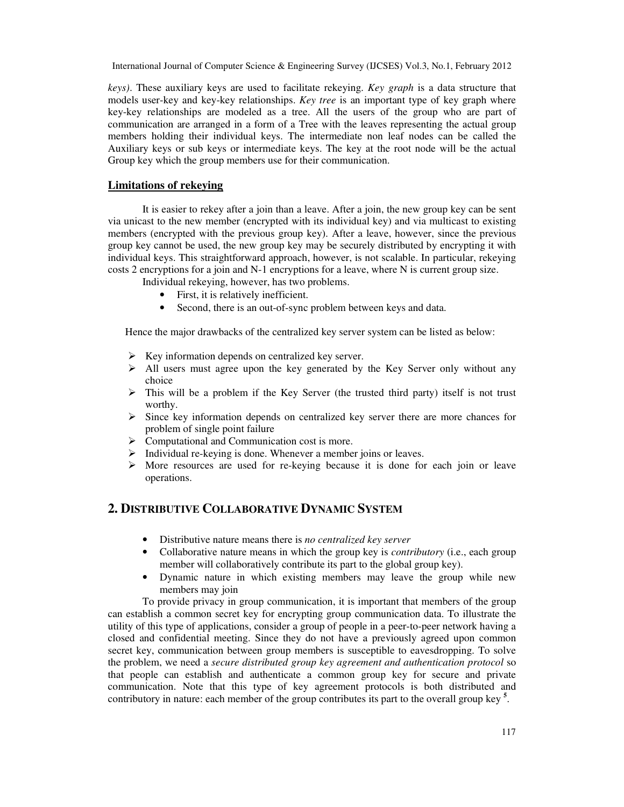*keys)*. These auxiliary keys are used to facilitate rekeying. *Key graph* is a data structure that models user-key and key-key relationships. *Key tree* is an important type of key graph where key-key relationships are modeled as a tree. All the users of the group who are part of communication are arranged in a form of a Tree with the leaves representing the actual group members holding their individual keys. The intermediate non leaf nodes can be called the Auxiliary keys or sub keys or intermediate keys. The key at the root node will be the actual Group key which the group members use for their communication.

## **Limitations of rekeying**

It is easier to rekey after a join than a leave. After a join, the new group key can be sent via unicast to the new member (encrypted with its individual key) and via multicast to existing members (encrypted with the previous group key). After a leave, however, since the previous group key cannot be used, the new group key may be securely distributed by encrypting it with individual keys. This straightforward approach, however, is not scalable. In particular, rekeying costs 2 encryptions for a join and N-1 encryptions for a leave, where N is current group size.

Individual rekeying, however, has two problems.

- First, it is relatively inefficient.
- Second, there is an out-of-sync problem between keys and data.

Hence the major drawbacks of the centralized key server system can be listed as below:

- $\triangleright$  Key information depends on centralized key server.
- $\triangleright$  All users must agree upon the key generated by the Key Server only without any choice
- $\triangleright$  This will be a problem if the Key Server (the trusted third party) itself is not trust worthy.
- $\triangleright$  Since key information depends on centralized key server there are more chances for problem of single point failure
- Computational and Communication cost is more.
- Individual re-keying is done. Whenever a member joins or leaves.
- More resources are used for re-keying because it is done for each join or leave operations.

## **2. DISTRIBUTIVE COLLABORATIVE DYNAMIC SYSTEM**

- Distributive nature means there is *no centralized key server*
- Collaborative nature means in which the group key is *contributory* (i.e., each group member will collaboratively contribute its part to the global group key).
- Dynamic nature in which existing members may leave the group while new members may join

To provide privacy in group communication, it is important that members of the group can establish a common secret key for encrypting group communication data. To illustrate the utility of this type of applications, consider a group of people in a peer-to-peer network having a closed and confidential meeting. Since they do not have a previously agreed upon common secret key, communication between group members is susceptible to eavesdropping. To solve the problem, we need a *secure distributed group key agreement and authentication protocol* so that people can establish and authenticate a common group key for secure and private communication. Note that this type of key agreement protocols is both distributed and contributory in nature: each member of the group contributes its part to the overall group key **<sup>5</sup>** .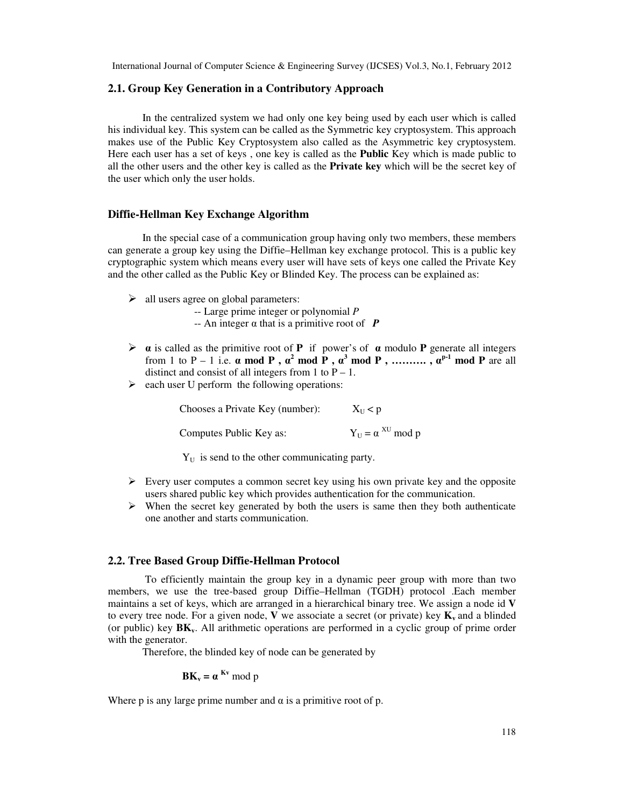#### **2.1. Group Key Generation in a Contributory Approach**

In the centralized system we had only one key being used by each user which is called his individual key. This system can be called as the Symmetric key cryptosystem. This approach makes use of the Public Key Cryptosystem also called as the Asymmetric key cryptosystem. Here each user has a set of keys , one key is called as the **Public** Key which is made public to all the other users and the other key is called as the **Private key** which will be the secret key of the user which only the user holds.

## **Diffie-Hellman Key Exchange Algorithm**

In the special case of a communication group having only two members, these members can generate a group key using the Diffie–Hellman key exchange protocol. This is a public key cryptographic system which means every user will have sets of keys one called the Private Key and the other called as the Public Key or Blinded Key. The process can be explained as:

- $\triangleright$  all users agree on global parameters:
	- -- Large prime integer or polynomial *P*
	- -- An integer α that is a primitive root of *P*
- α is called as the primitive root of **P** if power's of α modulo **P** generate all integers from 1 to P – 1 i.e.  $\alpha$  mod P,  $\alpha^2$  mod P,  $\alpha^3$  mod P, ..........,  $\alpha^{p-1}$  mod P are all distinct and consist of all integers from 1 to  $P - 1$ .
- $\triangleright$  each user U perform the following operations:

Chooses a Private Key (number):  $X_U < p$ Computes Public Key as:  $Y_{\text{U}} = \alpha^{\text{XU}}$  mod p

 $Y_{\text{U}}$  is send to the other communicating party.

- $\triangleright$  Every user computes a common secret key using his own private key and the opposite users shared public key which provides authentication for the communication.
- $\triangleright$  When the secret key generated by both the users is same then they both authenticate one another and starts communication.

## **2.2. Tree Based Group Diffie-Hellman Protocol**

 To efficiently maintain the group key in a dynamic peer group with more than two members, we use the tree-based group Diffie–Hellman (TGDH) protocol .Each member maintains a set of keys, which are arranged in a hierarchical binary tree. We assign a node id **V** to every tree node. For a given node, **V** we associate a secret (or private) key  $K<sub>v</sub>$  and a blinded (or public) key **BKv**. All arithmetic operations are performed in a cyclic group of prime order with the generator.

Therefore, the blinded key of node can be generated by

$$
BK_v = \alpha^{Kv} \bmod p
$$

Where p is any large prime number and  $\alpha$  is a primitive root of p.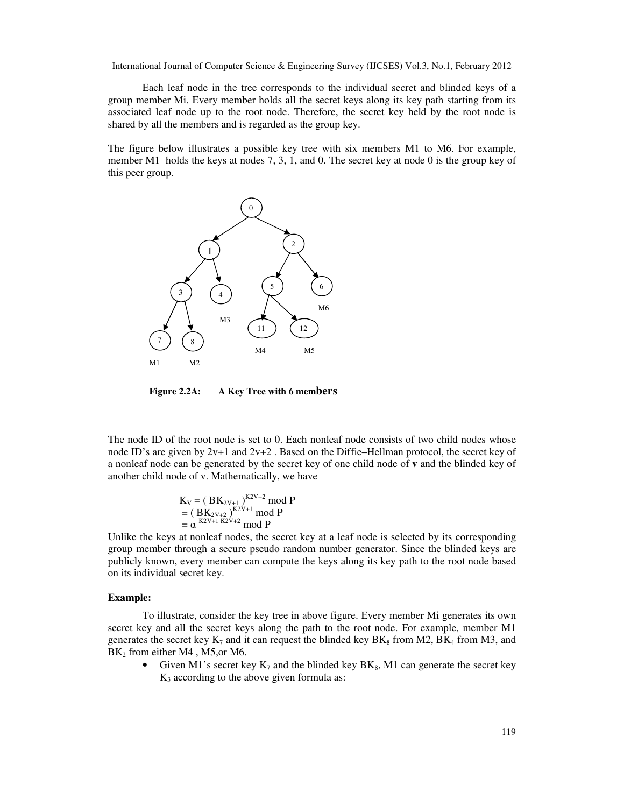Each leaf node in the tree corresponds to the individual secret and blinded keys of a group member Mi. Every member holds all the secret keys along its key path starting from its associated leaf node up to the root node. Therefore, the secret key held by the root node is shared by all the members and is regarded as the group key.

The figure below illustrates a possible key tree with six members M1 to M6. For example, member M1 holds the keys at nodes 7, 3, 1, and 0. The secret key at node 0 is the group key of this peer group.



**Figure 2.2A: A Key Tree with 6 members**

The node ID of the root node is set to 0. Each nonleaf node consists of two child nodes whose node ID's are given by 2v+1 and 2v+2. Based on the Diffie–Hellman protocol, the secret key of a nonleaf node can be generated by the secret key of one child node of **v** and the blinded key of another child node of v. Mathematically, we have

$$
K_V = (BK_{2V+1})^{K2V+2} \mod P
$$
  
=  $(BK_{2V+2})^{K2V+1} \mod P$   
=  $\alpha^{K2V+1 K2V+2} \mod P$ 

Unlike the keys at nonleaf nodes, the secret key at a leaf node is selected by its corresponding group member through a secure pseudo random number generator. Since the blinded keys are publicly known, every member can compute the keys along its key path to the root node based on its individual secret key.

#### **Example:**

To illustrate, consider the key tree in above figure. Every member Mi generates its own secret key and all the secret keys along the path to the root node. For example, member M1 generates the secret key  $K_7$  and it can request the blinded key  $BK_8$  from M2, BK<sub>4</sub> from M3, and BK<sub>2</sub> from either M4, M5, or M6.

• Given M1's secret key  $K_7$  and the blinded key  $BK_8$ , M1 can generate the secret key  $K<sub>3</sub>$  according to the above given formula as: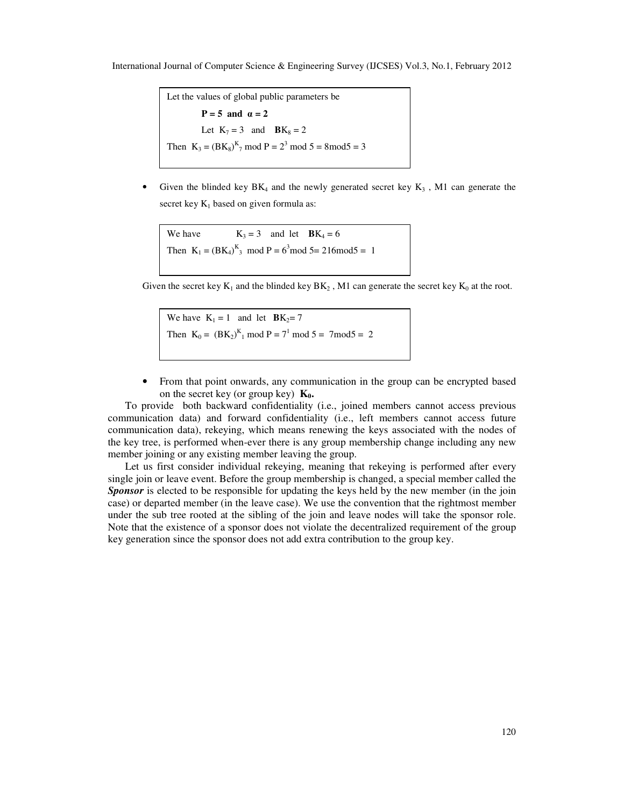```
Let the values of global public parameters be 
          P = 5 and \alpha = 2Let K_7 = 3 and BK_8 = 2Then K_3 = (BK_8)^K_7 \text{ mod } P = 2^3 \text{ mod } 5 = 8 \text{ mod } 5 = 3
```
Given the blinded key  $BK_4$  and the newly generated secret key  $K_3$ , M1 can generate the secret key  $K_1$  based on given formula as:

We have  $K_3 = 3$  and let  $BK_4 = 6$ Then  $K_1 = (BK_4)^K_3 \text{ mod } P = 6^3 \text{ mod } 5 = 216 \text{ mod } 5 = 1$ 

Given the secret key  $K_1$  and the blinded key  $BK_2$ , M1 can generate the secret key  $K_0$  at the root.

We have  $K_1 = 1$  and let  $BK_2 = 7$ Then  $K_0 = (BK_2)^K_1 \text{ mod } P = 7^1 \text{ mod } 5 = 7 \text{ mod } 5 = 2$ 

• From that point onwards, any communication in the group can be encrypted based on the secret key (or group key)  $\mathbf{K}_0$ .

To provide both backward confidentiality (i.e., joined members cannot access previous communication data) and forward confidentiality (i.e., left members cannot access future communication data), rekeying, which means renewing the keys associated with the nodes of the key tree, is performed when-ever there is any group membership change including any new member joining or any existing member leaving the group.

Let us first consider individual rekeying, meaning that rekeying is performed after every single join or leave event. Before the group membership is changed, a special member called the **Sponsor** is elected to be responsible for updating the keys held by the new member (in the join case) or departed member (in the leave case). We use the convention that the rightmost member under the sub tree rooted at the sibling of the join and leave nodes will take the sponsor role. Note that the existence of a sponsor does not violate the decentralized requirement of the group key generation since the sponsor does not add extra contribution to the group key.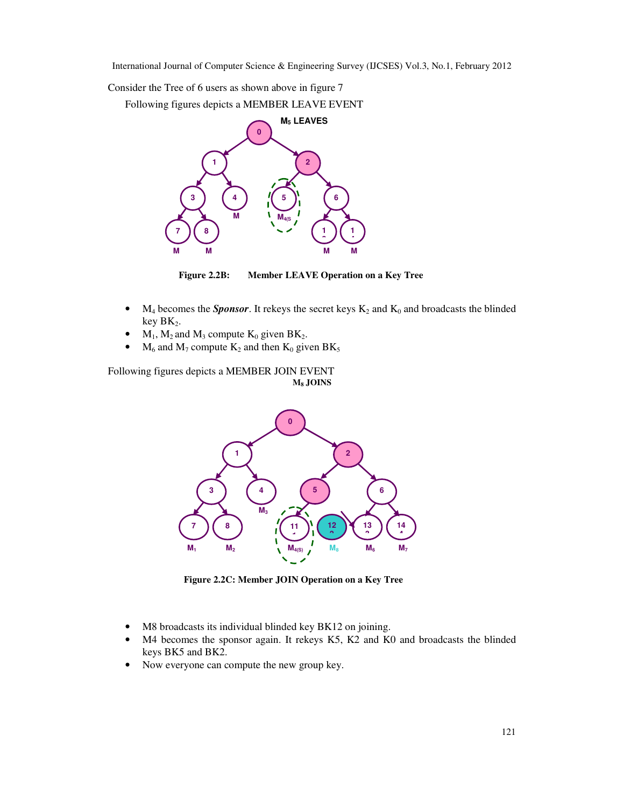Consider the Tree of 6 users as shown above in figure 7

Following figures depicts a MEMBER LEAVE EVENT



**Figure 2.2B: Member LEAVE Operation on a Key Tree** 

- $M_4$  becomes the *Sponsor*. It rekeys the secret keys  $K_2$  and  $K_0$  and broadcasts the blinded key  $BK<sub>2</sub>$ .
- $M_1$ ,  $M_2$  and  $M_3$  compute  $K_0$  given BK<sub>2</sub>.
- $M_6$  and  $M_7$  compute  $K_2$  and then  $K_0$  given BK<sub>5</sub>

Following figures depicts a MEMBER JOIN EVENT **M<sup>8</sup> JOINS** 



**Figure 2.2C: Member JOIN Operation on a Key Tree** 

- M8 broadcasts its individual blinded key BK12 on joining.
- M4 becomes the sponsor again. It rekeys K5, K2 and K0 and broadcasts the blinded keys BK5 and BK2.
- Now everyone can compute the new group key.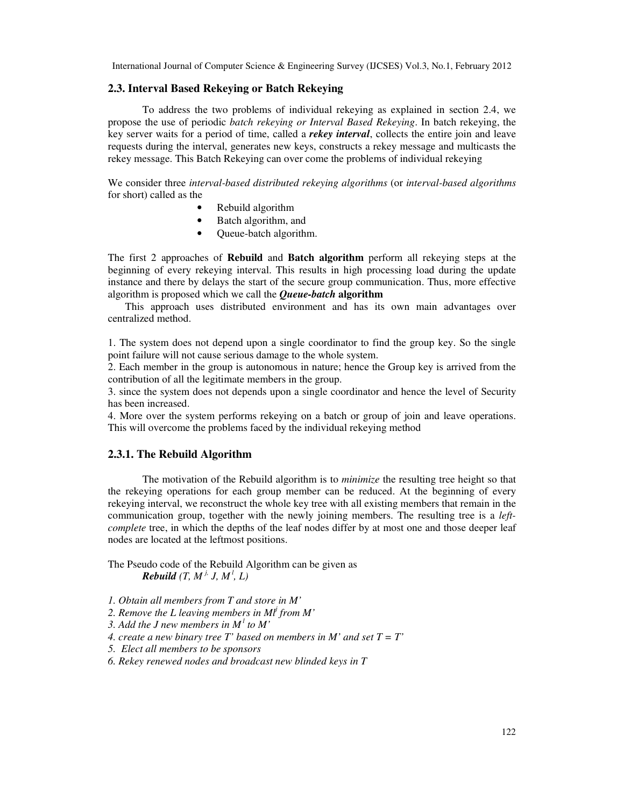#### **2.3. Interval Based Rekeying or Batch Rekeying**

To address the two problems of individual rekeying as explained in section 2.4, we propose the use of periodic *batch rekeying or Interval Based Rekeying*. In batch rekeying, the key server waits for a period of time, called a *rekey interval*, collects the entire join and leave requests during the interval, generates new keys, constructs a rekey message and multicasts the rekey message. This Batch Rekeying can over come the problems of individual rekeying

We consider three *interval-based distributed rekeying algorithms* (or *interval-based algorithms*  for short) called as the

- Rebuild algorithm
- Batch algorithm, and
- Queue-batch algorithm.

The first 2 approaches of **Rebuild** and **Batch algorithm** perform all rekeying steps at the beginning of every rekeying interval. This results in high processing load during the update instance and there by delays the start of the secure group communication. Thus, more effective algorithm is proposed which we call the *Queue-batch* **algorithm** 

This approach uses distributed environment and has its own main advantages over centralized method.

1. The system does not depend upon a single coordinator to find the group key. So the single point failure will not cause serious damage to the whole system.

2. Each member in the group is autonomous in nature; hence the Group key is arrived from the contribution of all the legitimate members in the group.

3. since the system does not depends upon a single coordinator and hence the level of Security has been increased.

4. More over the system performs rekeying on a batch or group of join and leave operations. This will overcome the problems faced by the individual rekeying method

#### **2.3.1. The Rebuild Algorithm**

The motivation of the Rebuild algorithm is to *minimize* the resulting tree height so that the rekeying operations for each group member can be reduced. At the beginning of every rekeying interval, we reconstruct the whole key tree with all existing members that remain in the communication group, together with the newly joining members. The resulting tree is a *leftcomplete* tree, in which the depths of the leaf nodes differ by at most one and those deeper leaf nodes are located at the leftmost positions.

The Pseudo code of the Rebuild Algorithm can be given as *Rebuild*  $(T, M^j, J, M^l, L)$ 

- *1. Obtain all members from T and store in M'*
- *2. Remove the L leaving members in Ml<sup>j</sup> from M'*

*3. Add the J new members in M<sup>l</sup> to M'* 

*4. create a new binary tree T' based on members in M' and set*  $T = T'$ 

*5. Elect all members to be sponsors* 

*6. Rekey renewed nodes and broadcast new blinded keys in T*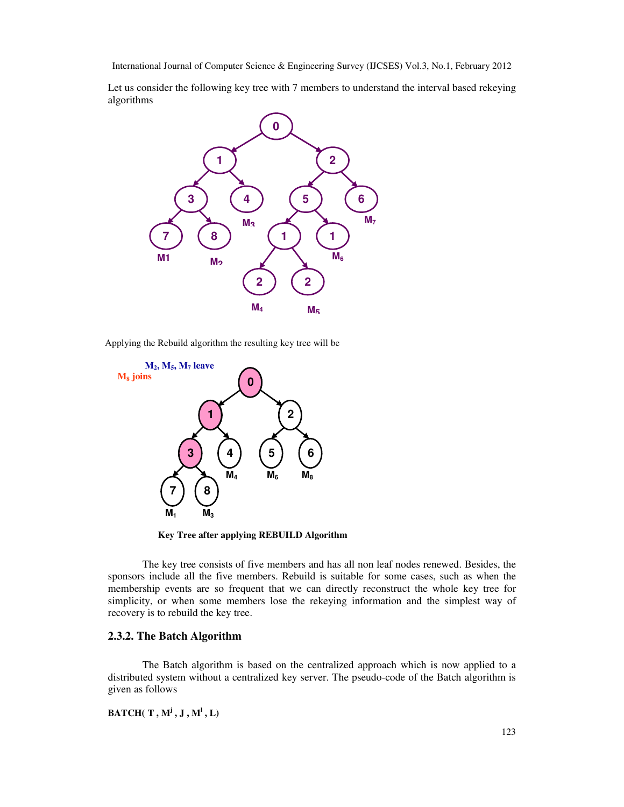Let us consider the following key tree with 7 members to understand the interval based rekeying algorithms



Applying the Rebuild algorithm the resulting key tree will be



**Key Tree after applying REBUILD Algorithm** 

The key tree consists of five members and has all non leaf nodes renewed. Besides, the sponsors include all the five members. Rebuild is suitable for some cases, such as when the membership events are so frequent that we can directly reconstruct the whole key tree for simplicity, or when some members lose the rekeying information and the simplest way of recovery is to rebuild the key tree.

## **2.3.2. The Batch Algorithm**

The Batch algorithm is based on the centralized approach which is now applied to a distributed system without a centralized key server. The pseudo-code of the Batch algorithm is given as follows

 $\textbf{BATEH}(\textbf{T}, \textbf{M}^{\text{j}}, \textbf{J}, \textbf{M}^{\text{l}}, \textbf{L})$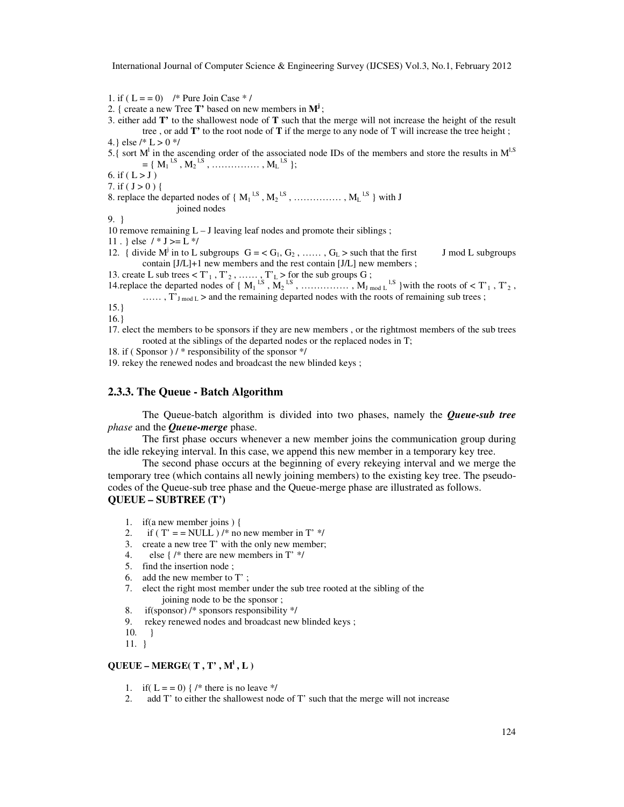1. if (  $L = 0$ ) /\* Pure Join Case \* /

- 2. { create a new Tree **T'** based on new members in **M<sup>j</sup>** ;
- 3. either add **T'** to the shallowest node of **T** such that the merge will not increase the height of the result tree , or add **T'** to the root node of **T** if the merge to any node of T will increase the tree height ; 4.} else /\* L > 0 \*/
- 5.{ sort  $M<sup>1</sup>$  in the ascending order of the associated node IDs of the members and store the results in  $M<sup>1, S</sup>$  $= \{ M_1^{1,S}, M_2^{1,S}, \dots \dots \dots \dots \dots \dots M_L^{1,S} \};$
- 6. if  $(L > J)$

7. if ( $J > 0$ ) {

8. replace the departed nodes of  $\{M_1^{1,S}, M_2^{1,S}, \dots, M_L^{1,S}\}$  with J joined nodes

9. }

- 10 remove remaining  $L J$  leaving leaf nodes and promote their siblings;
- 11 . } else  $/ * J >= L */$
- 12. { divide  $M^j$  in to L subgroups  $G = \langle G_1, G_2, \dots, G_L \rangle$  such that the first J mod L subgroups contain [J/L]+1 new members and the rest contain [J/L] new members ;

13. create L sub trees  $\langle T_1, T_2, \ldots, T_L \rangle$  for the sub groups G;

- 14.replace the departed nodes of  $\{M_1^{l,S}, M_2^{l,S}, \dots, M_{J_{\text{mod } L}}^{l,S}\}$  with the roots of < T'<sub>1</sub>, T'<sub>2</sub>, ......,  $\hat{T}_{J \text{ mod } L}$  > and the remaining departed nodes with the roots of remaining sub trees;
- 

```
15.} 
16.}
```
- 17. elect the members to be sponsors if they are new members , or the rightmost members of the sub trees rooted at the siblings of the departed nodes or the replaced nodes in T;
- 18. if ( Sponsor ) / \* responsibility of the sponsor \*/

19. rekey the renewed nodes and broadcast the new blinded keys ;

#### **2.3.3. The Queue - Batch Algorithm**

The Queue-batch algorithm is divided into two phases, namely the *Queue-sub tree phase* and the *Queue-merge* phase.

The first phase occurs whenever a new member joins the communication group during the idle rekeying interval. In this case, we append this new member in a temporary key tree.

The second phase occurs at the beginning of every rekeying interval and we merge the temporary tree (which contains all newly joining members) to the existing key tree. The pseudocodes of the Queue-sub tree phase and the Queue-merge phase are illustrated as follows. **QUEUE – SUBTREE (T')** 

- 1. if(a new member joins ) {
- 2. if (  $T' = = NULL$  ) /\* no new member in  $T'$  \*/
- 3. create a new tree T' with the only new member;<br>4. else { /\* there are new members in  $T'$  \*/
- else {  $/*$  there are new members in T'  $*/$
- 5. find the insertion node ;
- 6. add the new member to T' ;
- 7. elect the right most member under the sub tree rooted at the sibling of the joining node to be the sponsor ;
- 8. if(sponsor) /\* sponsors responsibility \*/
- 9. rekey renewed nodes and broadcast new blinded keys ;
- 10. }
- 11. }

#### $\mathbf{QUEUE}$  –  $\mathbf{MERGE}$ (T, T',  $\mathbf{M}^1$ , L)

- 1. if  $(L = 0)$  { /\* there is no leave \*/
- 2. add T' to either the shallowest node of T' such that the merge will not increase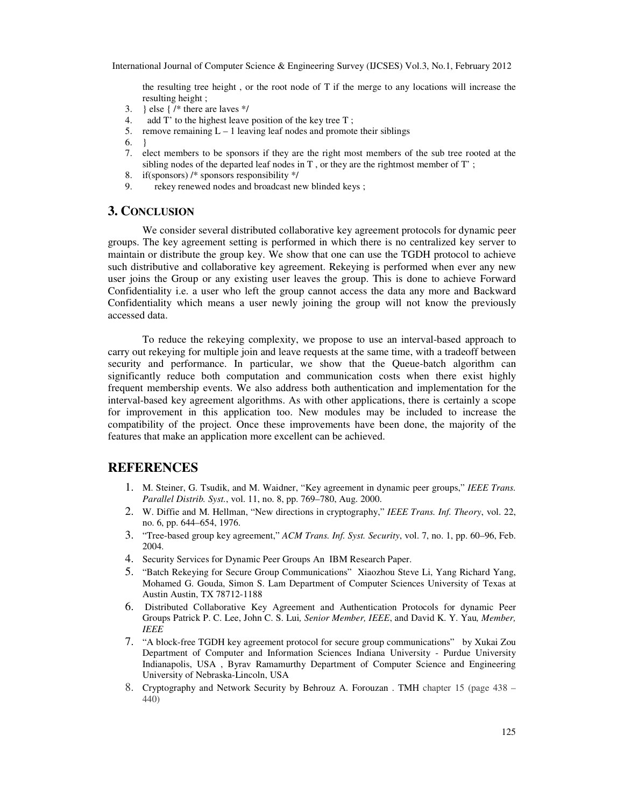the resulting tree height , or the root node of T if the merge to any locations will increase the resulting height ;

- 3. } else {  $/*$  there are laves  $*/$
- 4. add T' to the highest leave position of the key tree T ;
- 5. remove remaining  $L 1$  leaving leaf nodes and promote their siblings
- 6. }
- 7. elect members to be sponsors if they are the right most members of the sub tree rooted at the sibling nodes of the departed leaf nodes in  $T$ , or they are the rightmost member of  $T'$ ;
- 8. if(sponsors) /\* sponsors responsibility \*/
- 9. rekey renewed nodes and broadcast new blinded keys ;

#### **3. CONCLUSION**

We consider several distributed collaborative key agreement protocols for dynamic peer groups. The key agreement setting is performed in which there is no centralized key server to maintain or distribute the group key. We show that one can use the TGDH protocol to achieve such distributive and collaborative key agreement. Rekeying is performed when ever any new user joins the Group or any existing user leaves the group. This is done to achieve Forward Confidentiality i.e. a user who left the group cannot access the data any more and Backward Confidentiality which means a user newly joining the group will not know the previously accessed data.

To reduce the rekeying complexity, we propose to use an interval-based approach to carry out rekeying for multiple join and leave requests at the same time, with a tradeoff between security and performance. In particular, we show that the Queue-batch algorithm can significantly reduce both computation and communication costs when there exist highly frequent membership events. We also address both authentication and implementation for the interval-based key agreement algorithms. As with other applications, there is certainly a scope for improvement in this application too. New modules may be included to increase the compatibility of the project. Once these improvements have been done, the majority of the features that make an application more excellent can be achieved.

# **REFERENCES**

- 1. M. Steiner, G. Tsudik, and M. Waidner, "Key agreement in dynamic peer groups," *IEEE Trans. Parallel Distrib. Syst.*, vol. 11, no. 8, pp. 769–780, Aug. 2000.
- 2. W. Diffie and M. Hellman, "New directions in cryptography," *IEEE Trans. Inf. Theory*, vol. 22, no. 6, pp. 644–654, 1976.
- 3. "Tree-based group key agreement," *ACM Trans. Inf. Syst. Security*, vol. 7, no. 1, pp. 60–96, Feb. 2004.
- 4. Security Services for Dynamic Peer Groups An IBM Research Paper.
- 5. "Batch Rekeying for Secure Group Communications" Xiaozhou Steve Li, Yang Richard Yang, Mohamed G. Gouda, Simon S. Lam Department of Computer Sciences University of Texas at Austin Austin, TX 78712-1188
- 6. Distributed Collaborative Key Agreement and Authentication Protocols for dynamic Peer Groups Patrick P. C. Lee, John C. S. Lui*, Senior Member, IEEE*, and David K. Y. Yau*, Member, IEEE*
- 7. "A block-free TGDH key agreement protocol for secure group communications" by Xukai Zou Department of Computer and Information Sciences Indiana University - Purdue University Indianapolis, USA , Byrav Ramamurthy Department of Computer Science and Engineering University of Nebraska-Lincoln, USA
- 8. Cryptography and Network Security by Behrouz A. Forouzan . TMH chapter 15 (page 438 440)